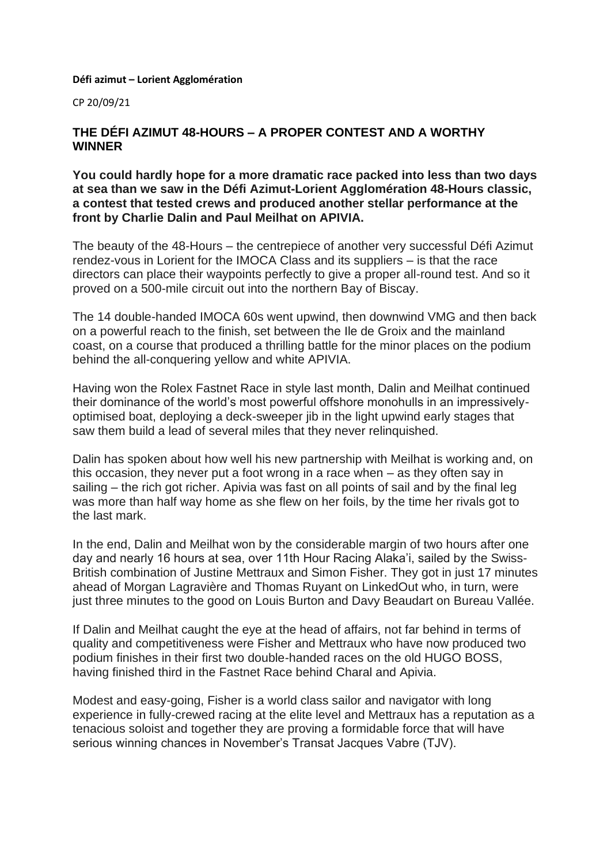## **Défi azimut – Lorient Agglomération**

CP 20/09/21

## **THE DÉFI AZIMUT 48-HOURS – A PROPER CONTEST AND A WORTHY WINNER**

**You could hardly hope for a more dramatic race packed into less than two days at sea than we saw in the Défi Azimut-Lorient Agglomération 48-Hours classic, a contest that tested crews and produced another stellar performance at the front by Charlie Dalin and Paul Meilhat on APIVIA.**

The beauty of the 48-Hours – the centrepiece of another very successful Défi Azimut rendez-vous in Lorient for the IMOCA Class and its suppliers – is that the race directors can place their waypoints perfectly to give a proper all-round test. And so it proved on a 500-mile circuit out into the northern Bay of Biscay.

The 14 double-handed IMOCA 60s went upwind, then downwind VMG and then back on a powerful reach to the finish, set between the Ile de Groix and the mainland coast, on a course that produced a thrilling battle for the minor places on the podium behind the all-conquering yellow and white APIVIA.

Having won the Rolex Fastnet Race in style last month, Dalin and Meilhat continued their dominance of the world's most powerful offshore monohulls in an impressivelyoptimised boat, deploying a deck-sweeper jib in the light upwind early stages that saw them build a lead of several miles that they never relinquished.

Dalin has spoken about how well his new partnership with Meilhat is working and, on this occasion, they never put a foot wrong in a race when – as they often say in sailing – the rich got richer. Apivia was fast on all points of sail and by the final leg was more than half way home as she flew on her foils, by the time her rivals got to the last mark.

In the end, Dalin and Meilhat won by the considerable margin of two hours after one day and nearly 16 hours at sea, over 11th Hour Racing Alaka'i, sailed by the Swiss-British combination of Justine Mettraux and Simon Fisher. They got in just 17 minutes ahead of Morgan Lagravière and Thomas Ruyant on LinkedOut who, in turn, were just three minutes to the good on Louis Burton and Davy Beaudart on Bureau Vallée.

If Dalin and Meilhat caught the eye at the head of affairs, not far behind in terms of quality and competitiveness were Fisher and Mettraux who have now produced two podium finishes in their first two double-handed races on the old HUGO BOSS, having finished third in the Fastnet Race behind Charal and Apivia.

Modest and easy-going, Fisher is a world class sailor and navigator with long experience in fully-crewed racing at the elite level and Mettraux has a reputation as a tenacious soloist and together they are proving a formidable force that will have serious winning chances in November's Transat Jacques Vabre (TJV).